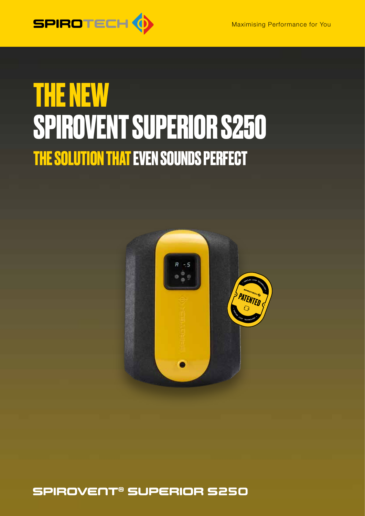

### **THE NEW SPIROVENT SUPERIOR S250 THE SOLUTION THAT EVEN SOUNDS PERFECT**



#### SPIROVENT® SUPERIOR S250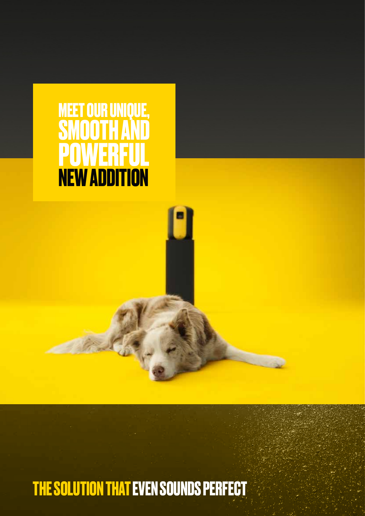

### **THE SOLUTION THAT EVEN SOUNDS PERFECT**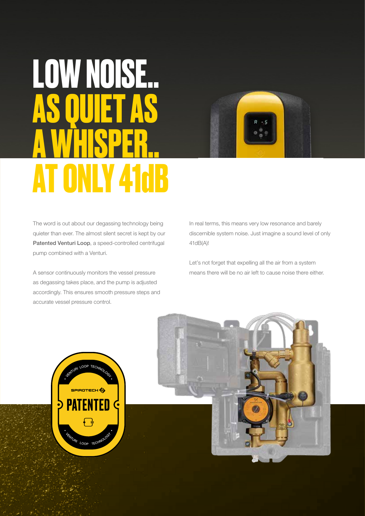# **LOW NOISE.. AS QUIET AS A WHISPER.. AT ONLY 41dB**



The word is out about our degassing technology being quieter than ever. The almost silent secret is kept by our Patented Venturi Loop, a speed-controlled centrifugal pump combined with a Venturi.

A sensor continuously monitors the vessel pressure as degassing takes place, and the pump is adjusted accordingly. This ensures smooth pressure steps and accurate vessel pressure control.

In real terms, this means very low resonance and barely discernible system noise. Just imagine a sound level of only 41dB(A)!

Let's not forget that expelling all the air from a system means there will be no air left to cause noise there either.

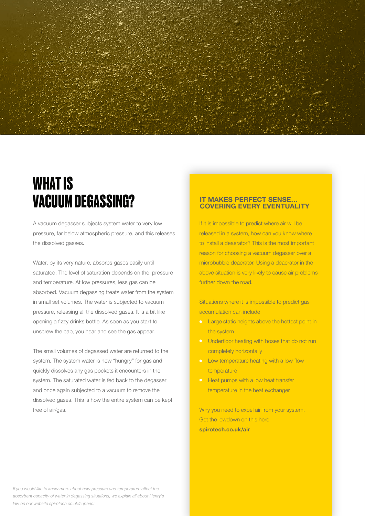

### **WHAT IS VACUUM DEGASSING?**

A vacuum degasser subjects system water to very low pressure, far below atmospheric pressure, and this releases the dissolved gasses.

Water, by its very nature, absorbs gases easily until saturated. The level of saturation depends on the pressure and temperature. At low pressures, less gas can be absorbed. Vacuum degassing treats water from the system in small set volumes. The water is subjected to vacuum pressure, releasing all the dissolved gases. It is a bit like opening a fizzy drinks bottle. As soon as you start to unscrew the cap, you hear and see the gas appear.

The small volumes of degassed water are returned to the system. The system water is now "hungry" for gas and quickly dissolves any gas pockets it encounters in the system. The saturated water is fed back to the degasser and once again subjected to a vacuum to remove the dissolved gases. This is how the entire system can be kept free of air/gas.

#### **IT MAKES PERFECT SENSE...**<br>COVERING EVERY EVENTUALITY

If it is impossible to predict where air will be released in a system, how can you know where to install a deaerator? This is the most important reason for choosing a vacuum degasser over a microbubble deaerator. Using a deaerator in the above situation is very likely to cause air problems further down the road.

Situations where it is impossible to predict gas accumulation can include

- **•** Large static heights above the hottest point in the system
- **•** Underfloor heating with hoses that do not run completely horizontally
- **•** Low temperature heating with a low flow temperature
- **•** Heat pumps with a low heat transfer temperature in the heat exchanger

Why you need to expel air from your system. Get the lowdown on this here **spirotech.co.uk/air**

*If you would like to know more about how pressure and temperature affect the absorbent capacity of water in degassing situations, we explain all about Henry's law on our website spirotech.co.uk/superior*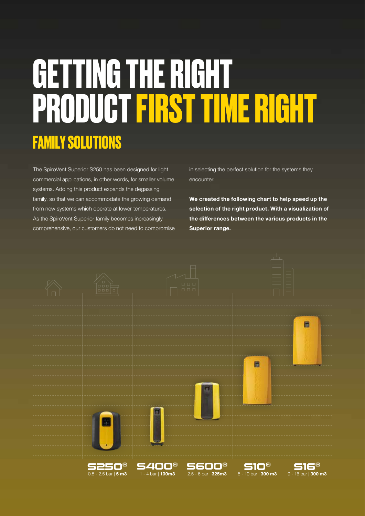## **FAMILY SOLUTIONS GETTING THE RIGHT PRODUCT FIRST TIME RIGHT**

The SpiroVent Superior S250 has been designed for light commercial applications, in other words, for smaller volume systems. Adding this product expands the degassing family, so that we can accommodate the growing demand from new systems which operate at lower temperatures. As the SpiroVent Superior family becomes increasingly comprehensive, our customers do not need to compromise

in selecting the perfect solution for the systems they encounter.

**We created the following chart to help speed up the selection of the right product. With a visualization of the differences between the various products in the Superior range.**

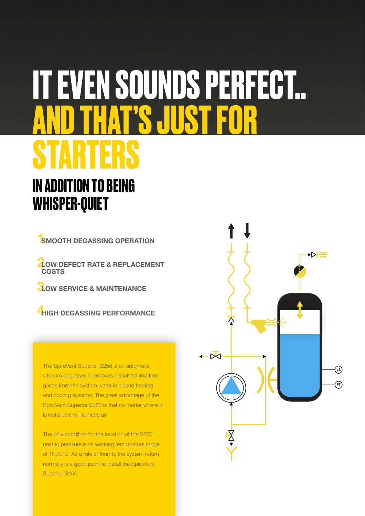### **IT EVEN SOUNDS PERFECT.. AND THAT'S JUST FOR STARTERS IN ADDITION TO BEING**

**WHISPER-QUIET** 

**1 SMOOTH DEGASSING OPERATION**

**2 LOW DEFECT RATE & REPLACEMENT COSTS**

**3 LOW SERVICE & MAINTENANCE** 

**4 HIGH DEGASSING PERFORMANCE**

The SpiroVent Superior S250 is an automatic vacuum degasser. It removes dissolved and free gases from the system water in closed heating and cooling systems. The great advantage of the SpiroVent Superior S250 is that no matter where it is installed it will remove air.

The only condition for the location of the S250 next to pressure is its working temperature range of 15-70°C. As a rule of thumb, the system return normally is a good point to install the SpiroVent Superior S250.

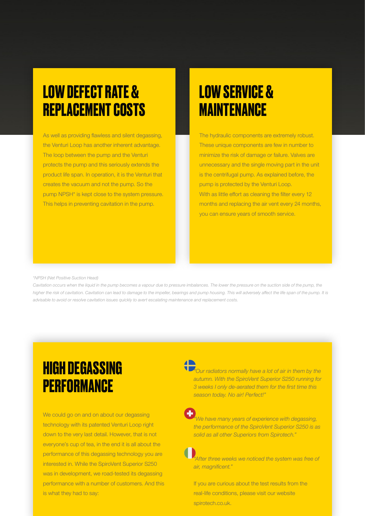### **LOW DEFECT RATE & REPLACEMENT COSTS**

As well as providing flawless and silent degassing, the Venturi Loop has another inherent advantage. The loop between the pump and the Venturi protects the pump and this seriously extends the product life span. In operation, it is the Venturi that creates the vacuum and not the pump. So the pump NPSH\* is kept close to the system pressure. This helps in preventing cavitation in the pump.

### **LOW SERVICE & MAINTENANCE**

The hydraulic components are extremely robust. These unique components are few in number to minimize the risk of damage or failure. Valves are unnecessary and the single moving part in the unit is the centrifugal pump. As explained before, the pump is protected by the Venturi Loop. With as little effort as cleaning the filter every 12 months and replacing the air vent every 24 months, you can ensure years of smooth service.

#### *\*NPSH (Net Positive Suction Head)*

Cavitation occurs when the liquid in the pump becomes a vapour due to pressure imbalances. The lower the pressure on the suction side of the pump, the higher the risk of cavitation. Cavitation can lead to damage to the impeller, bearings and pump housing. This will adversely affect the life span of the pump. It is *advisable to avoid or resolve cavitation issues quickly to avert escalating maintenance and replacement costs.* 

### **HIGH DEGASSING PERFORMANCE**

We could go on and on about our degassing technology with its patented Venturi Loop right down to the very last detail. However, that is not everyone's cup of tea, in the end it is all about the performance of this degassing technology you are interested in. While the SpiroVent Superior S250 was in development, we road-tested its degassing performance with a number of customers. And this is what they had to say:

*"Our radiators normally have a lot of air in them by the autumn. With the SpiroVent Superior S250 running for 3 weeks I only de-aerated them for the first time this season today. No air! Perfect!"*

*"We have many years of experience with degassing, the performance of the SpiroVent Superior S250 is as solid as all other Superiors from Spirotech."*

*"After three weeks we noticed the system was free of air, magnificent."*

If you are curious about the test results from the real-life conditions, please visit our website spirotech.co.uk.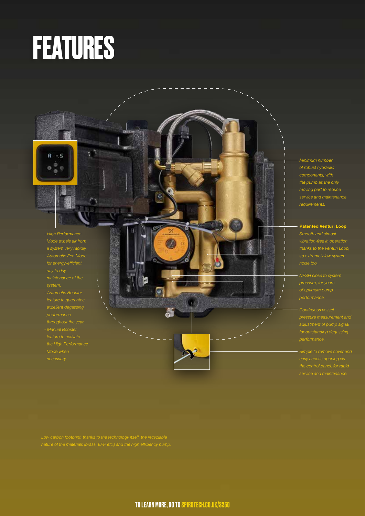## **FEATURES**



 $R - 5$ 

- *excellent degassing*
- *Manual Booster the High Performance*
- *Mode when*

*Minimum number of robust hydraulic the pump as the only*

750

ß Ø **Patented Venturi Loop**

- *pressure, for years*
- *pressure measurement and adjustment of pump signal*
- *Simple to remove cover and*

 $\bullet$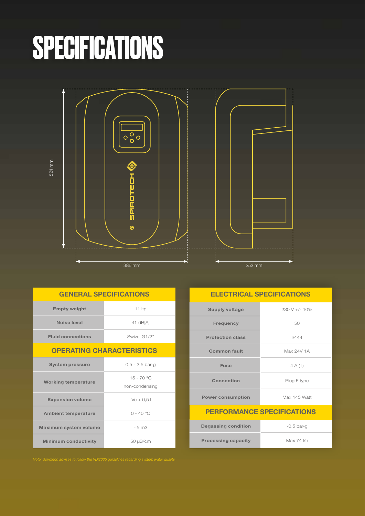# **SPECIFICATIONS**



| <b>GENERAL SPECIFICATIONS</b>    |                                |
|----------------------------------|--------------------------------|
| <b>Empty weight</b>              | $11$ kg                        |
| Noise level                      | 41 dB[A]                       |
| <b>Fluid connections</b>         | Swivel G1/2"                   |
| <b>OPERATING CHARACTERISTICS</b> |                                |
| <b>System pressure</b>           | $0.5 - 2.5$ bar-q              |
| <b>Working temperature</b>       | $15 - 70 °C$<br>non-condensing |
| <b>Expansion volume</b>          | $Ve + 0.51$                    |
| <b>Ambient temperature</b>       | $0 - 40 °C$                    |
| <b>Maximum system volume</b>     | $~5$ m $3$                     |
| <b>Minimum conductivity</b>      | 50 µS/cm                       |

#### **ELECTRICAL SPECIFICATIONS**

| <b>Supply voltage</b>             | $230 V +/- 10%$ |
|-----------------------------------|-----------------|
| <b>Frequency</b>                  | 50              |
| <b>Protection class</b>           | IP 44           |
| <b>Common fault</b>               | Max 24V 1A      |
| <b>Fuse</b>                       | $4A(\top)$      |
| Connection                        | Plug F type     |
| <b>Power consumption</b>          | Max 145 Watt    |
| <b>PERFORMANCE SPECIFICATIONS</b> |                 |
| <b>Degassing condition</b>        | $-0.5$ bar-g    |
| <b>Processing capacity</b>        | Max 74 l/h      |